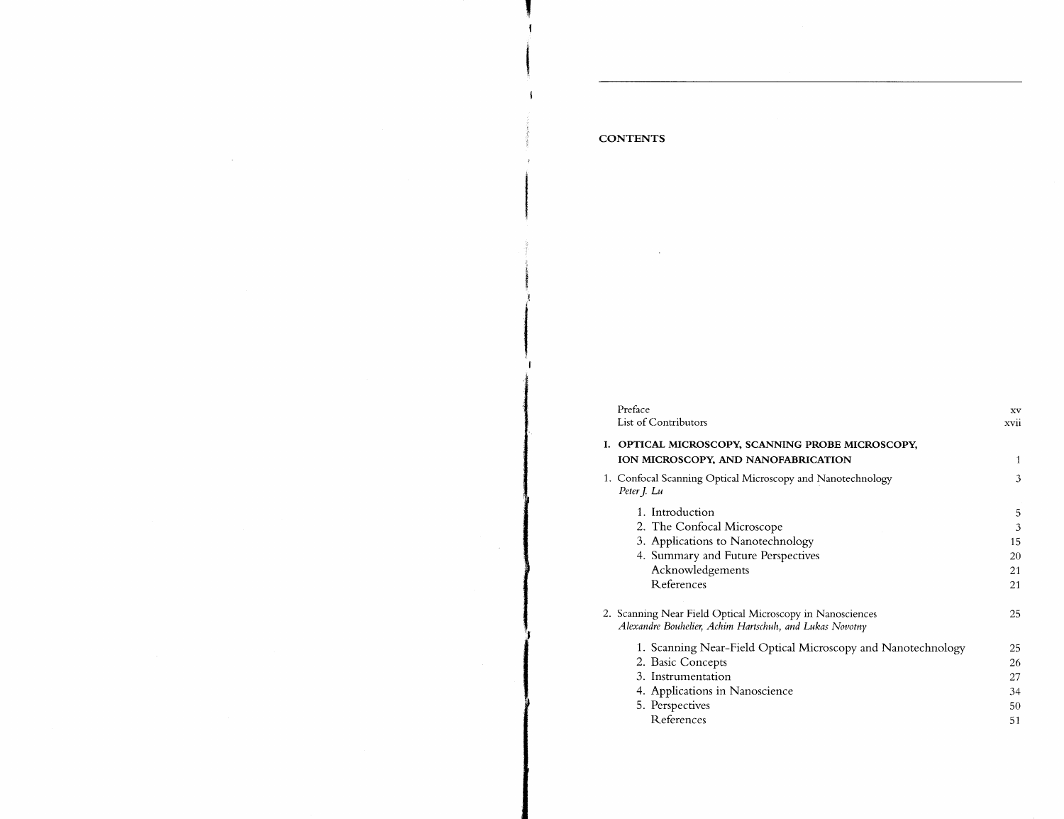| Preface                                                                                                              | xv          |
|----------------------------------------------------------------------------------------------------------------------|-------------|
| List of Contributors                                                                                                 | <b>XV11</b> |
|                                                                                                                      |             |
| OPTICAL MICROSCOPY, SCANNING PROBE MICROSCOPY.<br>L.<br>ION MICROSCOPY, AND NANOFABRICATION                          | 1           |
|                                                                                                                      |             |
| 1. Confocal Scanning Optical Microscopy and Nanotechnology<br>Peter J. Lu                                            | 3           |
| 1. Introduction                                                                                                      | 5           |
| 2. The Confocal Microscope                                                                                           | 3           |
| 3. Applications to Nanotechnology                                                                                    | 15          |
| 4. Summary and Future Perspectives                                                                                   | 20          |
| Acknowledgements                                                                                                     | 21          |
| References                                                                                                           | 21          |
| 2. Scanning Near Field Optical Microscopy in Nanosciences<br>Alexandre Bouhelier, Achim Hartschuh, and Lukas Novotny | 25          |
| 1. Scanning Near-Field Optical Microscopy and Nanotechnology                                                         | 25          |
| 2. Basic Concepts                                                                                                    | 26          |
| 3. Instrumentation                                                                                                   | 27          |
| 4. Applications in Nanoscience                                                                                       | 34          |
| 5. Perspectives                                                                                                      | 50          |
| References                                                                                                           | 51          |

## **CONTENTS**

 $\sim 100$  km s  $^{-1}$ 

 $\sim$   $\sim$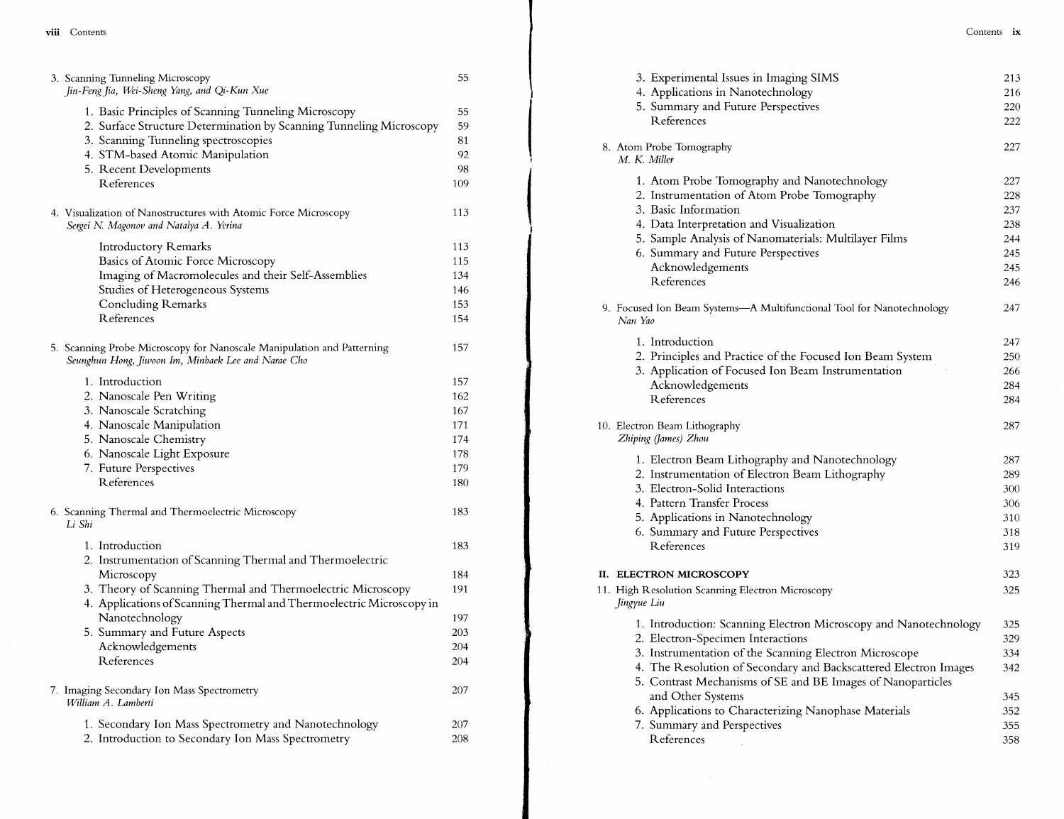| 3. Scanning Tunneling Microscopy<br>Jin-Feng Jia, Wei-Sheng Yang, and Qi-Kun Xue                                                                                    | 5.              |
|---------------------------------------------------------------------------------------------------------------------------------------------------------------------|-----------------|
| 1. Basic Principles of Scanning Tunneling Microscopy<br>2. Surface Structure Determination by Scanning Tunneling Microscopy<br>3. Scanning Tunneling spectroscopies | 55<br>59<br>81  |
| 4. STM-based Atomic Manipulation                                                                                                                                    | 92              |
| 5. Recent Developments                                                                                                                                              | 98              |
| References                                                                                                                                                          | 109             |
| 4. Visualization of Nanostructures with Atomic Force Microscopy<br>Sergei N. Magonov and Natalya A. Yerina                                                          | 113             |
| <b>Introductory Remarks</b>                                                                                                                                         | 113             |
| <b>Basics of Atomic Force Microscopy</b>                                                                                                                            | 11 <sub>5</sub> |
| Imaging of Macromolecules and their Self-Assemblies                                                                                                                 | 134             |
| Studies of Heterogeneous Systems                                                                                                                                    | 146             |
| <b>Concluding Remarks</b>                                                                                                                                           | 153             |
| References                                                                                                                                                          | 154             |
| 5. Scanning Probe Microscopy for Nanoscale Manipulation and Patterning<br>Seunghun Hong, Jiwoon Im, Minbaek Lee and Narae Cho                                       | 157             |
| 1. Introduction                                                                                                                                                     | 157             |
| 2. Nanoscale Pen Writing                                                                                                                                            | 162             |
| 3. Nanoscale Scratching                                                                                                                                             | 167             |
| 4. Nanoscale Manipulation                                                                                                                                           | 17 <sup>2</sup> |
| 5. Nanoscale Chemistry                                                                                                                                              | 174             |
| 6. Nanoscale Light Exposure                                                                                                                                         | 178             |
| 7. Future Perspectives                                                                                                                                              | 179             |
| References                                                                                                                                                          | 180             |
| 6. Scanning Thermal and Thermoelectric Microscopy<br>Li Shi                                                                                                         | 183             |
| 1. Introduction                                                                                                                                                     | 183             |
| 2. Instrumentation of Scanning Thermal and Thermoelectric                                                                                                           |                 |
| Microscopy                                                                                                                                                          | 184             |
| 3. Theory of Scanning Thermal and Thermoelectric Microscopy<br>4. Applications of Scanning Thermal and Thermoelectric Microscopy in                                 | 191             |
| Nanotechnology                                                                                                                                                      | 197             |
|                                                                                                                                                                     | 203             |
| 5. Summary and Future Aspects<br>Acknowledgements                                                                                                                   |                 |
| References                                                                                                                                                          | 204<br>204      |
| 7. Imaging Secondary Ion Mass Spectrometry<br>William A. Lamberti                                                                                                   | 207             |
| 1. Secondary Ion Mass Spectrometry and Nanotechnology                                                                                                               | 207             |
| 2. Introduction to Secondary Ion Mass Spectrometry                                                                                                                  | 208             |
|                                                                                                                                                                     |                 |

| 3. Experimental Issues in Imaging SIMS<br>4. Applications in Nanotechnology<br>5. Summary and Future Perspectives<br>References                                                                                                                                                                                                                                                                                 | 213<br>216<br>220<br>222                             |
|-----------------------------------------------------------------------------------------------------------------------------------------------------------------------------------------------------------------------------------------------------------------------------------------------------------------------------------------------------------------------------------------------------------------|------------------------------------------------------|
| 8. Atom Probe Tomography<br>M. K. Miller                                                                                                                                                                                                                                                                                                                                                                        | 227                                                  |
| 1. Atom Probe Tomography and Nanotechnology<br>2. Instrumentation of Atom Probe Tomography<br>3. Basic Information<br>4. Data Interpretation and Visualization<br>5. Sample Analysis of Nanomaterials: Multilayer Films<br>6. Summary and Future Perspectives<br>Acknowledgements<br>References                                                                                                                 | 227<br>228<br>237<br>238<br>244<br>245<br>245<br>246 |
| 9. Focused Ion Beam Systems-A Multifunctional Tool for Nanotechnology<br>Nan Yao                                                                                                                                                                                                                                                                                                                                | 247                                                  |
| 1. Introduction<br>2. Principles and Practice of the Focused Ion Beam System<br>3. Application of Focused Ion Beam Instrumentation<br>Acknowledgements<br><b>R</b> eferences                                                                                                                                                                                                                                    | 247<br>250<br>266<br>284<br>284                      |
| 10. Electron Beam Lithography<br>Zhiping (James) Zhou                                                                                                                                                                                                                                                                                                                                                           | 287                                                  |
| 1. Electron Beam Lithography and Nanotechnology<br>2. Instrumentation of Electron Beam Lithography<br>3. Electron-Solid Interactions<br>4. Pattern Transfer Process<br>5. Applications in Nanotechnology<br>6. Summary and Future Perspectives<br>References                                                                                                                                                    | 287<br>289<br>300<br>306<br>310<br>318<br>319        |
| II. ELECTRON MICROSCOPY                                                                                                                                                                                                                                                                                                                                                                                         | 323                                                  |
| 11. High Resolution Scanning Electron Microscopy<br>Jingyue Liu                                                                                                                                                                                                                                                                                                                                                 | 325                                                  |
| 1. Introduction: Scanning Electron Microscopy and Nanotechnology<br>2. Electron-Specimen Interactions<br>3. Instrumentation of the Scanning Electron Microscope<br>4. The Resolution of Secondary and Backscattered Electron Images<br>5. Contrast Mechanisms of SE and BE Images of Nanoparticles<br>and Other Systems<br>6. Applications to Characterizing Nanophase Materials<br>7. Summary and Perspectives | 325<br>329<br>334<br>342<br>345<br>352<br>355        |
| References                                                                                                                                                                                                                                                                                                                                                                                                      | 358                                                  |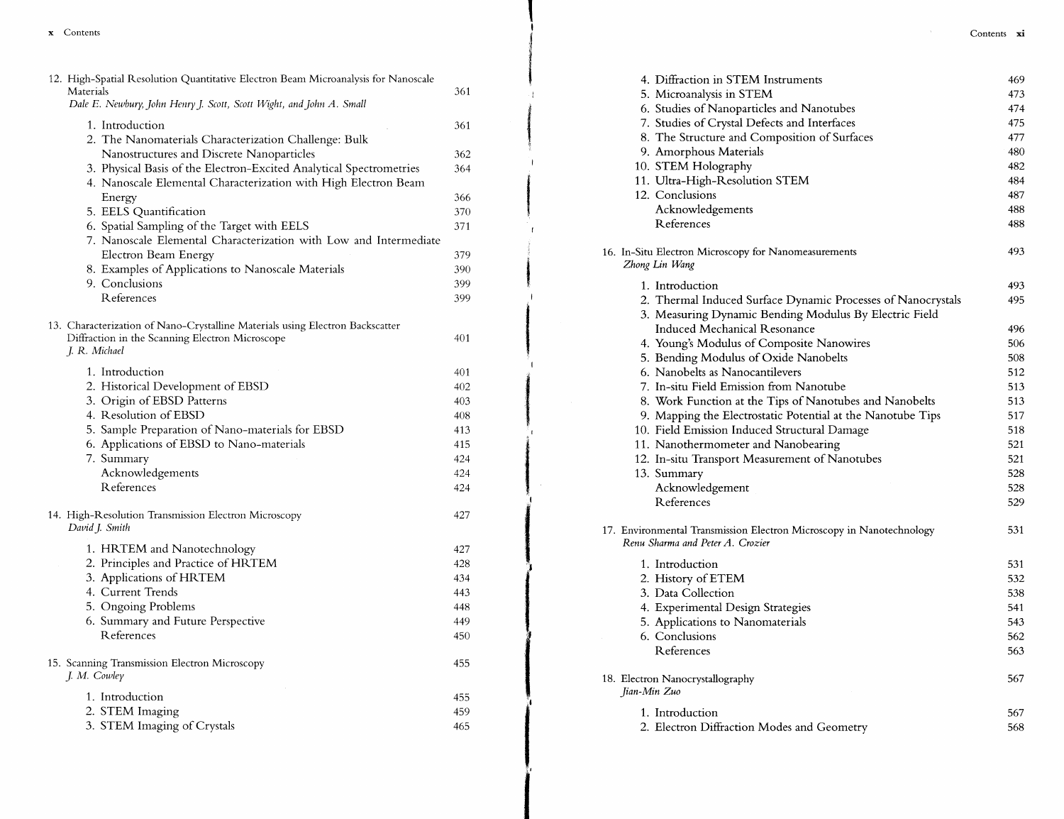| 12. High-Spatial Resolution Quantitative Electron Beam Microanalysis for Nanoscale<br>Materials<br>Dale E. Newbury, John Henry J. Scott, Scott Wight, and John A. Small | 361 |
|-------------------------------------------------------------------------------------------------------------------------------------------------------------------------|-----|
| 1. Introduction<br>2. The Nanomaterials Characterization Challenge: Bulk                                                                                                | 361 |
| Nanostructures and Discrete Nanoparticles                                                                                                                               | 362 |
| 3. Physical Basis of the Electron-Excited Analytical Spectrometries<br>4. Nanoscale Elemental Characterization with High Electron Beam                                  | 364 |
| Energy                                                                                                                                                                  | 366 |
| 5. EELS Quantification                                                                                                                                                  | 370 |
| 6. Spatial Sampling of the Target with EELS                                                                                                                             | 371 |
| 7. Nanoscale Elemental Characterization with Low and Intermediate                                                                                                       |     |
| Electron Beam Energy                                                                                                                                                    | 379 |
| 8. Examples of Applications to Nanoscale Materials                                                                                                                      | 390 |
| 9. Conclusions                                                                                                                                                          | 399 |
| References                                                                                                                                                              | 399 |
| 13. Characterization of Nano-Crystalline Materials using Electron Backscatter<br>Diffraction in the Scanning Electron Microscope<br>J. R. Michael                       | 401 |
|                                                                                                                                                                         |     |
| 1. Introduction                                                                                                                                                         | 401 |
| 2. Historical Development of EBSD                                                                                                                                       | 402 |
| 3. Origin of EBSD Patterns                                                                                                                                              | 403 |
| 4. Resolution of EBSD                                                                                                                                                   | 408 |
| 5. Sample Preparation of Nano-materials for EBSD                                                                                                                        | 413 |
| 6. Applications of EBSD to Nano-materials                                                                                                                               | 415 |
| 7. Summary                                                                                                                                                              | 424 |
| Acknowledgements                                                                                                                                                        | 424 |
| References                                                                                                                                                              | 424 |
| 14. High-Resolution Transmission Electron Microscopy<br>David J. Smith                                                                                                  | 427 |
| 1. HRTEM and Nanotechnology                                                                                                                                             | 427 |
| 2. Principles and Practice of HRTEM                                                                                                                                     | 428 |
| 3. Applications of HRTEM                                                                                                                                                | 434 |
| 4. Current Trends                                                                                                                                                       | 443 |
| 5. Ongoing Problems                                                                                                                                                     | 448 |
| 6. Summary and Future Perspective                                                                                                                                       | 449 |
| References                                                                                                                                                              | 450 |
| 15. Scanning Transmission Electron Microscopy<br>J. M. Cowley                                                                                                           | 455 |
| 1. Introduction                                                                                                                                                         | 455 |
| 2. STEM Imaging                                                                                                                                                         | 459 |
| 3. STEM Imaging of Crystals                                                                                                                                             | 465 |
|                                                                                                                                                                         |     |

 $\mathbf{r}$ 

 $\sim 10^{-11}$ 

| 4. Diffraction in STEM Instruments                                                                       | 469 |
|----------------------------------------------------------------------------------------------------------|-----|
| 5. Microanalysis in STEM                                                                                 | 473 |
| 6. Studies of Nanoparticles and Nanotubes                                                                | 474 |
| 7. Studies of Crystal Defects and Interfaces                                                             | 475 |
| 8. The Structure and Composition of Surfaces                                                             | 477 |
| 9. Amorphous Materials                                                                                   | 480 |
| 10. STEM Holography                                                                                      | 482 |
| 11. Ultra-High-Resolution STEM                                                                           | 484 |
| 12. Conclusions                                                                                          | 487 |
| Acknowledgements                                                                                         | 488 |
| References                                                                                               | 488 |
| 16. In-Situ Electron Microscopy for Nanomeasurements<br>Zhong Lin Wang                                   | 493 |
| 1. Introduction                                                                                          | 493 |
| 2. Thermal Induced Surface Dynamic Processes of Nanocrystals                                             | 495 |
| 3. Measuring Dynamic Bending Modulus By Electric Field                                                   |     |
| Induced Mechanical Resonance                                                                             | 496 |
| 4. Young's Modulus of Composite Nanowires                                                                | 506 |
| 5. Bending Modulus of Oxide Nanobelts                                                                    | 508 |
| 6. Nanobelts as Nanocantilevers                                                                          | 512 |
| 7. In-situ Field Emission from Nanotube                                                                  | 513 |
| 8. Work Function at the Tips of Nanotubes and Nanobelts                                                  | 513 |
| 9. Mapping the Electrostatic Potential at the Nanotube Tips                                              | 517 |
| 10. Field Emission Induced Structural Damage                                                             | 518 |
| 11. Nanothermometer and Nanobearing                                                                      | 521 |
| 12. In-situ Transport Measurement of Nanotubes                                                           | 521 |
| 13. Summary                                                                                              | 528 |
| Acknowledgement                                                                                          | 528 |
| References                                                                                               | 529 |
| 17. Environmental Transmission Electron Microscopy in Nanotechnology<br>Renu Sharma and Peter A. Crozier | 531 |
| 1. Introduction                                                                                          | 531 |
| 2. History of ETEM                                                                                       | 532 |
| 3. Data Collection                                                                                       | 538 |
| 4. Experimental Design Strategies                                                                        | 541 |
| 5. Applications to Nanomaterials                                                                         | 543 |
| 6. Conclusions                                                                                           | 562 |
| References                                                                                               | 563 |
| 18. Electron Nanocrystallography<br>Jian-Min Zuo                                                         | 567 |
| 1. Introduction                                                                                          | 567 |
| 2. Electron Diffraction Modes and Geometry                                                               | 568 |
|                                                                                                          |     |